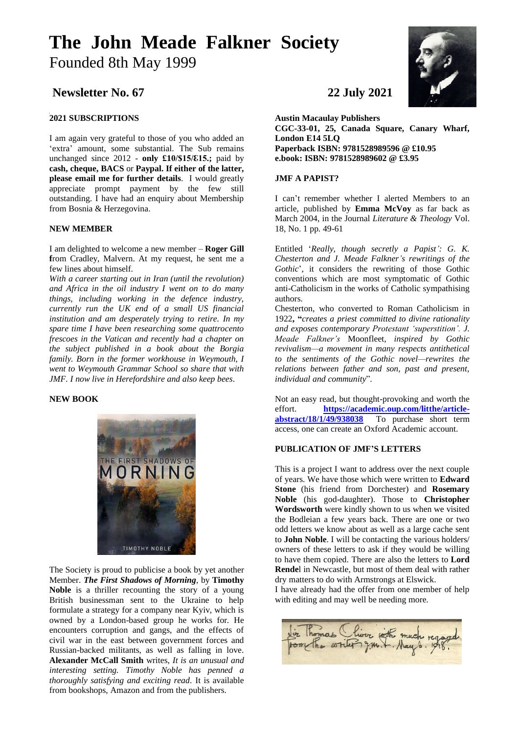# **The John Meade Falkner Society**  Founded 8th May 1999

## **Newsletter No. 67 22 July 2021**

### **2021 SUBSCRIPTIONS**

I am again very grateful to those of you who added an 'extra' amount, some substantial. The Sub remains unchanged since 2012 - **only £10/\$15/ℇ15.;** paid by **cash, cheque, BACS** or **Paypal. If either of the latter, please email me for further details**. I would greatly appreciate prompt payment by the few still outstanding. I have had an enquiry about Membership from Bosnia & Herzegovina.

#### **NEW MEMBER**

I am delighted to welcome a new member – **Roger Gill f**rom Cradley, Malvern. At my request, he sent me a few lines about himself.

*With a career starting out in Iran (until the revolution) and Africa in the oil industry I went on to do many things, including working in the defence industry, currently run the UK end of a small US financial institution and am desperately trying to retire. In my spare time I have been researching some quattrocento frescoes in the Vatican and recently had a chapter on the subject published in a book about the Borgia family. Born in the former workhouse in Weymouth, I went to Weymouth Grammar School so share that with JMF. I now live in Herefordshire and also keep bees*.

#### **NEW BOOK**



The Society is proud to publicise a book by yet another Member. *The First Shadows of Morning*, by **Timothy Noble** is a thriller recounting the story of a young British businessman sent to the Ukraine to help formulate a strategy for a company near Kyiv, which is owned by a London-based group he works for. He encounters corruption and gangs, and the effects of civil war in the east between government forces and Russian-backed militants, as well as falling in love. **Alexander McCall Smith** writes, *It is an unusual and interesting setting. Timothy Noble has penned a thoroughly satisfying and exciting read*. It is available from bookshops, Amazon and from the publishers.



**Austin Macaulay Publishers CGC-33-01, 25, Canada Square, Canary Wharf, London E14 5LQ Paperback ISBN: 9781528989596 @ £10.95 e.book: ISBN: 9781528989602 @ £3.95**

#### **JMF A PAPIST?**

I can't remember whether I alerted Members to an article, published by **Emma McVoy** as far back as March 2004, in the Journal *Literature & Theology* Vol. 18, No. 1 pp. 49-61

Entitled '*Really, though secretly a Papist': G. K. Chesterton and J. Meade Falkner's rewritings of the Gothic*', it considers the rewriting of those Gothic conventions which are most symptomatic of Gothic anti-Catholicism in the works of Catholic sympathising authors.

Chesterton, who converted to Roman Catholicism in 1922**, "***creates a priest committed to divine rationality and exposes contemporary Protestant 'superstition'. J. Meade Falkner's* Moonfleet*, inspired by Gothic revivalism—a movement in many respects antithetical to the sentiments of the Gothic novel—rewrites the relations between father and son, past and present, individual and community*".

Not an easy read, but thought-provoking and worth the effort. **[https://academic.oup.com/litthe/article](https://academic.oup.com/litthe/article-abstract/18/1/49/938038)[abstract/18/1/49/938038](https://academic.oup.com/litthe/article-abstract/18/1/49/938038)** To purchase short term access, one can create an Oxford Academic account.

#### **PUBLICATION OF JMF'S LETTERS**

This is a project I want to address over the next couple of years. We have those which were written to **Edward Stone** (his friend from Dorchester) and **Rosemary Noble** (his god-daughter). Those to **Christopher Wordsworth** were kindly shown to us when we visited the Bodleian a few years back. There are one or two odd letters we know about as well as a large cache sent to **John Noble**. I will be contacting the various holders/ owners of these letters to ask if they would be willing to have them copied. There are also the letters to **Lord Rende**l in Newcastle, but most of them deal with rather dry matters to do with Armstrongs at Elswick.

I have already had the offer from one member of help with editing and may well be needing more.

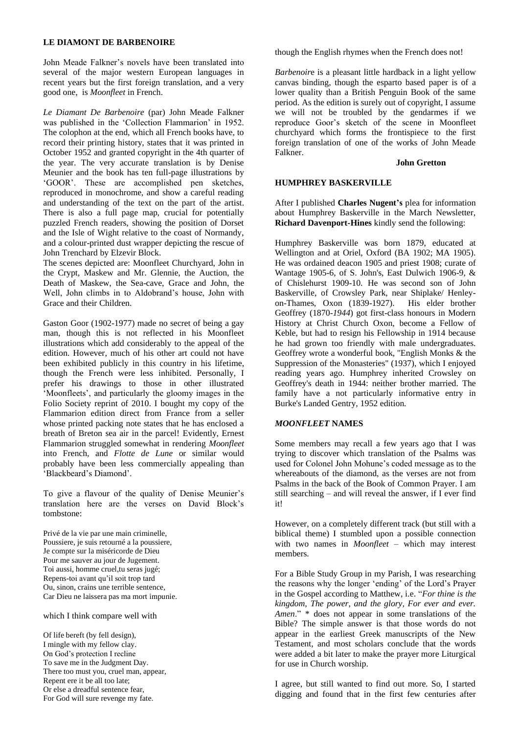#### **LE DIAMONT DE BARBENOIRE**

John Meade Falkner's novels have been translated into several of the major western European languages in recent years but the first foreign translation, and a very good one, is *Moonfleet* in French.

*Le Diamant De Barbenoire* (par) John Meade Falkner was published in the 'Collection Flammarion' in 1952. The colophon at the end, which all French books have, to record their printing history, states that it was printed in October 1952 and granted copyright in the 4th quarter of the year. The very accurate translation is by Denise Meunier and the book has ten full-page illustrations by 'GOOR'. These are accomplished pen sketches, reproduced in monochrome, and show a careful reading and understanding of the text on the part of the artist. There is also a full page map, crucial for potentially puzzled French readers, showing the position of Dorset and the Isle of Wight relative to the coast of Normandy, and a colour-printed dust wrapper depicting the rescue of John Trenchard by Elzevir Block.

The scenes depicted are: Moonfleet Churchyard, John in the Crypt, Maskew and Mr. Glennie, the Auction, the Death of Maskew, the Sea-cave, Grace and John, the Well, John climbs in to Aldobrand's house, John with Grace and their Children.

Gaston Goor (1902-1977) made no secret of being a gay man, though this is not reflected in his Moonfleet illustrations which add considerably to the appeal of the edition. However, much of his other art could not have been exhibited publicly in this country in his lifetime, though the French were less inhibited. Personally, I prefer his drawings to those in other illustrated 'Moonfleets', and particularly the gloomy images in the Folio Society reprint of 2010. I bought my copy of the Flammarion edition direct from France from a seller whose printed packing note states that he has enclosed a breath of Breton sea air in the parcel! Evidently, Ernest Flammarion struggled somewhat in rendering *Moonfleet* into French, and *Flotte de Lune* or similar would probably have been less commercially appealing than 'Blackbeard's Diamond'.

To give a flavour of the quality of Denise Meunier's translation here are the verses on David Block's tombstone:

Privé de la vie par une main criminelle, Poussiere, je suis retourné a la poussiere, Je compte sur la miséricorde de Dieu Pour me sauver au jour de Jugement. Toi aussi, homme cruel,tu seras jugé; Repens-toi avant qu'il soit trop tard Ou, sinon, crains une terrible sentence, Car Dieu ne laissera pas ma mort impunie.

#### which I think compare well with

Of life bereft (by fell design), I mingle with my fellow clay. On God's protection I recline To save me in the Judgment Day. There too must you, cruel man, appear, Repent ere it be all too late; Or else a dreadful sentence fear, For God will sure revenge my fate.

though the English rhymes when the French does not!

*Barbenoir*e is a pleasant little hardback in a light yellow canvas binding, though the esparto based paper is of a lower quality than a British Penguin Book of the same period. As the edition is surely out of copyright, I assume we will not be troubled by the gendarmes if we reproduce Goor's sketch of the scene in Moonfleet churchyard which forms the frontispiece to the first foreign translation of one of the works of John Meade Falkner.

#### **John Gretton**

#### **HUMPHREY BASKERVILLE**

After I published **Charles Nugent's** plea for information about Humphrey Baskerville in the March Newsletter, **Richard Davenport-Hines** kindly send the following:

Humphrey Baskerville was born 1879, educated at Wellington and at Oriel, Oxford (BA 1902; MA 1905). He was ordained deacon 1905 and priest 1908; curate of Wantage 1905-6, of S. John's, East Dulwich 1906-9, & of Chislehurst 1909-10. He was second son of John Baskerville, of Crowsley Park, near Shiplake/ Henleyon-Thames, Oxon (1839-1927). His elder brother Geoffrey (1870-*1944*) got first-class honours in Modern History at Christ Church Oxon, become a Fellow of Keble, but had to resign his Fellowship in 1914 because he had grown too friendly with male undergraduates. Geoffrey wrote a wonderful book, "English Monks & the Suppression of the Monasteries" (1937), which I enjoyed reading years ago. Humphrey inherited Crowsley on Geoffrey's death in 1944: neither brother married. The family have a not particularly informative entry in Burke's Landed Gentry, 1952 edition.

#### *MOONFLEET* **NAMES**

Some members may recall a few years ago that I was trying to discover which translation of the Psalms was used for Colonel John Mohune's coded message as to the whereabouts of the diamond, as the verses are not from Psalms in the back of the Book of Common Prayer. I am still searching – and will reveal the answer, if I ever find it!

However, on a completely different track (but still with a biblical theme) I stumbled upon a possible connection with two names in *Moonfleet* – which may interest members.

For a Bible Study Group in my Parish, I was researching the reasons why the longer 'ending' of the Lord's Prayer in the Gospel according to Matthew, i.e. "*For thine is the kingdom, The power, and the glory, For ever and ever. Amen*." \* does not appear in some translations of the Bible? The simple answer is that those words do not appear in the earliest Greek manuscripts of the New Testament, and most scholars conclude that the words were added a bit later to make the prayer more Liturgical for use in Church worship.

I agree, but still wanted to find out more. So, I started digging and found that in the first few centuries after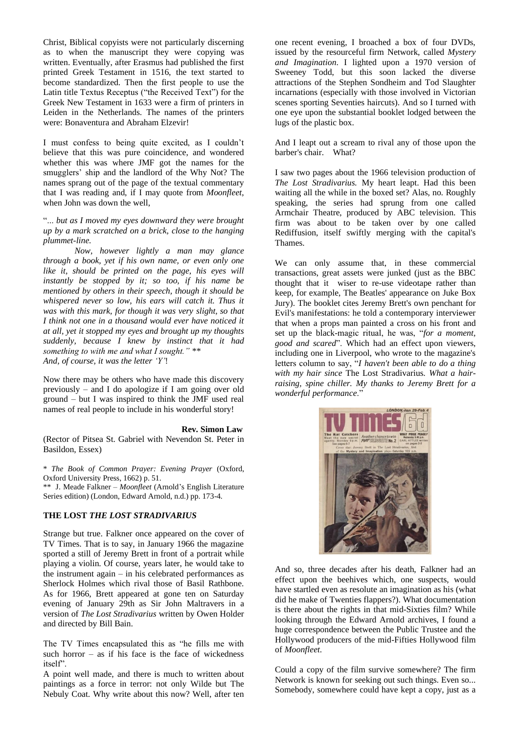Christ, Biblical copyists were not particularly discerning as to when the manuscript they were copying was written. Eventually, after Erasmus had published the first printed Greek Testament in 1516, the text started to become standardized. Then the first people to use the Latin title Textus Receptus ("the Received Text") for the Greek New Testament in 1633 were a firm of printers in Leiden in the Netherlands. The names of the printers were: Bonaventura and Abraham Elzevir!

I must confess to being quite excited, as I couldn't believe that this was pure coincidence, and wondered whether this was where JMF got the names for the smugglers' ship and the landlord of the Why Not? The names sprang out of the page of the textual commentary that I was reading and, if I may quote from *Moonfleet*, when John was down the well,

"... *but as I moved my eyes downward they were brought up by a mark scratched on a brick, close to the hanging plummet-line.*

*Now, however lightly a man may glance through a book, yet if his own name, or even only one like it, should be printed on the page, his eyes will instantly be stopped by it; so too, if his name be mentioned by others in their speech, though it should be whispered never so low, his ears will catch it. Thus it was with this mark, for though it was very slight, so that I think not one in a thousand would ever have noticed it at all, yet it stopped my eyes and brought up my thoughts suddenly, because I knew by instinct that it had something to with me and what I sought." \*\* And, of course, it was the letter 'Y'*!

Now there may be others who have made this discovery previously – and I do apologize if I am going over old ground – but I was inspired to think the JMF used real names of real people to include in his wonderful story!

#### **Rev. Simon Law**

(Rector of Pitsea St. Gabriel with Nevendon St. Peter in Basildon, Essex)

\* *The Book of Common Prayer: Evening Prayer* (Oxford, Oxford University Press, 1662) p. 51.

\*\* J. Meade Falkner – *Moonfleet* (Arnold's English Literature Series edition) (London, Edward Arnold, n.d.) pp. 173-4.

#### **THE LOST** *THE LOST STRADIVARIUS*

Strange but true. Falkner once appeared on the cover of TV Times. That is to say, in January 1966 the magazine sported a still of Jeremy Brett in front of a portrait while playing a violin. Of course, years later, he would take to the instrument again – in his celebrated performances as Sherlock Holmes which rival those of Basil Rathbone. As for 1966, Brett appeared at gone ten on Saturday evening of January 29th as Sir John Maltravers in a version of *The Lost Stradivarius* written by Owen Holder and directed by Bill Bain.

The TV Times encapsulated this as "he fills me with such horror  $-$  as if his face is the face of wickedness itself".

A point well made, and there is much to written about paintings as a force in terror: not only Wilde but The Nebuly Coat. Why write about this now? Well, after ten

one recent evening, I broached a box of four DVDs, issued by the resourceful firm Network, called *Mystery and Imagination*. I lighted upon a 1970 version of Sweeney Todd, but this soon lacked the diverse attractions of the Stephen Sondheim and Tod Slaughter incarnations (especially with those involved in Victorian scenes sporting Seventies haircuts). And so I turned with one eye upon the substantial booklet lodged between the lugs of the plastic box.

And I leapt out a scream to rival any of those upon the barber's chair. What?

I saw two pages about the 1966 television production of *The Lost Stradivarius.* My heart leapt. Had this been waiting all the while in the boxed set? Alas, no. Roughly speaking, the series had sprung from one called Armchair Theatre, produced by ABC television. This firm was about to be taken over by one called Rediffusion, itself swiftly merging with the capital's Thames.

We can only assume that, in these commercial transactions, great assets were junked (just as the BBC thought that it wiser to re-use videotape rather than keep, for example, The Beatles' appearance on Juke Box Jury). The booklet cites Jeremy Brett's own penchant for Evil's manifestations: he told a contemporary interviewer that when a props man painted a cross on his front and set up the black-magic ritual, he was, "*for a moment, good and scared*". Which had an effect upon viewers, including one in Liverpool, who wrote to the magazine's letters column to say, "*I haven't been able to do a thing with my hair since* The Lost Stradivarius*. What a hairraising, spine chiller. My thanks to Jeremy Brett for a wonderful performance*."



And so, three decades after his death, Falkner had an effect upon the beehives which, one suspects, would have startled even as resolute an imagination as his (what did he make of Twenties flappers?). What documentation is there about the rights in that mid-Sixties film? While looking through the Edward Arnold archives, I found a huge correspondence between the Public Trustee and the Hollywood producers of the mid-Fifties Hollywood film of *Moonfleet*.

Could a copy of the film survive somewhere? The firm Network is known for seeking out such things. Even so... Somebody, somewhere could have kept a copy, just as a